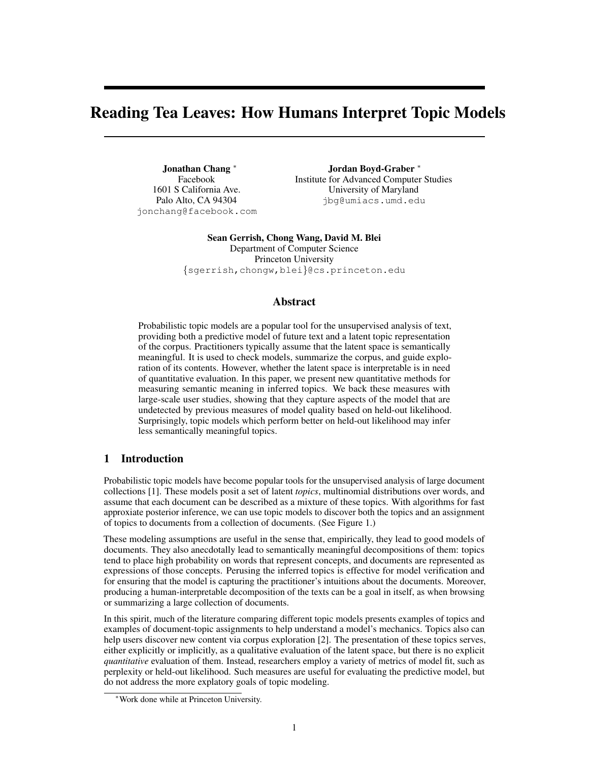# Reading Tea Leaves: How Humans Interpret Topic Models

Jonathan Chang <sup>∗</sup> Facebook 1601 S California Ave. Palo Alto, CA 94304 jonchang@facebook.com

Jordan Boyd-Graber <sup>∗</sup> Institute for Advanced Computer Studies University of Maryland jbg@umiacs.umd.edu

Sean Gerrish, Chong Wang, David M. Blei Department of Computer Science Princeton University {sgerrish,chongw,blei}@cs.princeton.edu

# Abstract

Probabilistic topic models are a popular tool for the unsupervised analysis of text, providing both a predictive model of future text and a latent topic representation of the corpus. Practitioners typically assume that the latent space is semantically meaningful. It is used to check models, summarize the corpus, and guide exploration of its contents. However, whether the latent space is interpretable is in need of quantitative evaluation. In this paper, we present new quantitative methods for measuring semantic meaning in inferred topics. We back these measures with large-scale user studies, showing that they capture aspects of the model that are undetected by previous measures of model quality based on held-out likelihood. Surprisingly, topic models which perform better on held-out likelihood may infer less semantically meaningful topics.

# 1 Introduction

Probabilistic topic models have become popular tools for the unsupervised analysis of large document collections [1]. These models posit a set of latent *topics*, multinomial distributions over words, and assume that each document can be described as a mixture of these topics. With algorithms for fast approxiate posterior inference, we can use topic models to discover both the topics and an assignment of topics to documents from a collection of documents. (See Figure 1.)

These modeling assumptions are useful in the sense that, empirically, they lead to good models of documents. They also anecdotally lead to semantically meaningful decompositions of them: topics tend to place high probability on words that represent concepts, and documents are represented as expressions of those concepts. Perusing the inferred topics is effective for model verification and for ensuring that the model is capturing the practitioner's intuitions about the documents. Moreover, producing a human-interpretable decomposition of the texts can be a goal in itself, as when browsing or summarizing a large collection of documents.

In this spirit, much of the literature comparing different topic models presents examples of topics and examples of document-topic assignments to help understand a model's mechanics. Topics also can help users discover new content via corpus exploration [2]. The presentation of these topics serves, either explicitly or implicitly, as a qualitative evaluation of the latent space, but there is no explicit *quantitative* evaluation of them. Instead, researchers employ a variety of metrics of model fit, such as perplexity or held-out likelihood. Such measures are useful for evaluating the predictive model, but do not address the more explatory goals of topic modeling.

<sup>∗</sup>Work done while at Princeton University.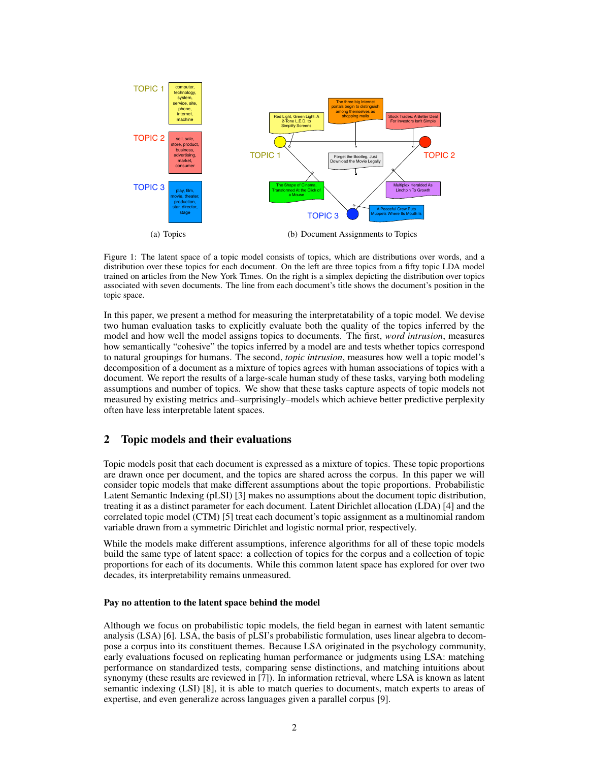

Figure 1: The latent space of a topic model consists of topics, which are distributions over words, and a distribution over these topics for each document. On the left are three topics from a fifty topic LDA model trained on articles from the New York Times. On the right is a simplex depicting the distribution over topics associated with seven documents. The line from each document's title shows the document's position in the topic space.

In this paper, we present a method for measuring the interpretatability of a topic model. We devise two human evaluation tasks to explicitly evaluate both the quality of the topics inferred by the model and how well the model assigns topics to documents. The first, *word intrusion*, measures how semantically "cohesive" the topics inferred by a model are and tests whether topics correspond to natural groupings for humans. The second, *topic intrusion*, measures how well a topic model's decomposition of a document as a mixture of topics agrees with human associations of topics with a document. We report the results of a large-scale human study of these tasks, varying both modeling assumptions and number of topics. We show that these tasks capture aspects of topic models not measured by existing metrics and–surprisingly–models which achieve better predictive perplexity often have less interpretable latent spaces.

# 2 Topic models and their evaluations

Topic models posit that each document is expressed as a mixture of topics. These topic proportions are drawn once per document, and the topics are shared across the corpus. In this paper we will consider topic models that make different assumptions about the topic proportions. Probabilistic Latent Semantic Indexing (pLSI) [3] makes no assumptions about the document topic distribution, treating it as a distinct parameter for each document. Latent Dirichlet allocation (LDA) [4] and the correlated topic model (CTM) [5] treat each document's topic assignment as a multinomial random variable drawn from a symmetric Dirichlet and logistic normal prior, respectively.

While the models make different assumptions, inference algorithms for all of these topic models build the same type of latent space: a collection of topics for the corpus and a collection of topic proportions for each of its documents. While this common latent space has explored for over two decades, its interpretability remains unmeasured.

## Pay no attention to the latent space behind the model

Although we focus on probabilistic topic models, the field began in earnest with latent semantic analysis (LSA) [6]. LSA, the basis of pLSI's probabilistic formulation, uses linear algebra to decompose a corpus into its constituent themes. Because LSA originated in the psychology community, early evaluations focused on replicating human performance or judgments using LSA: matching performance on standardized tests, comparing sense distinctions, and matching intuitions about synonymy (these results are reviewed in [7]). In information retrieval, where LSA is known as latent semantic indexing (LSI) [8], it is able to match queries to documents, match experts to areas of expertise, and even generalize across languages given a parallel corpus [9].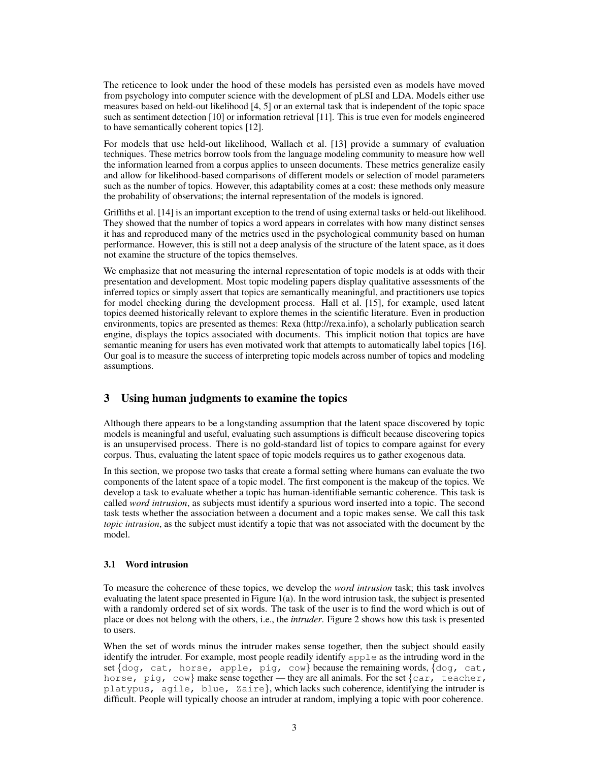The reticence to look under the hood of these models has persisted even as models have moved from psychology into computer science with the development of pLSI and LDA. Models either use measures based on held-out likelihood [4, 5] or an external task that is independent of the topic space such as sentiment detection [10] or information retrieval [11]. This is true even for models engineered to have semantically coherent topics [12].

For models that use held-out likelihood, Wallach et al. [13] provide a summary of evaluation techniques. These metrics borrow tools from the language modeling community to measure how well the information learned from a corpus applies to unseen documents. These metrics generalize easily and allow for likelihood-based comparisons of different models or selection of model parameters such as the number of topics. However, this adaptability comes at a cost: these methods only measure the probability of observations; the internal representation of the models is ignored.

Griffiths et al. [14] is an important exception to the trend of using external tasks or held-out likelihood. They showed that the number of topics a word appears in correlates with how many distinct senses it has and reproduced many of the metrics used in the psychological community based on human performance. However, this is still not a deep analysis of the structure of the latent space, as it does not examine the structure of the topics themselves.

We emphasize that not measuring the internal representation of topic models is at odds with their presentation and development. Most topic modeling papers display qualitative assessments of the inferred topics or simply assert that topics are semantically meaningful, and practitioners use topics for model checking during the development process. Hall et al. [15], for example, used latent topics deemed historically relevant to explore themes in the scientific literature. Even in production environments, topics are presented as themes: Rexa (http://rexa.info), a scholarly publication search engine, displays the topics associated with documents. This implicit notion that topics are have semantic meaning for users has even motivated work that attempts to automatically label topics [16]. Our goal is to measure the success of interpreting topic models across number of topics and modeling assumptions.

# 3 Using human judgments to examine the topics

Although there appears to be a longstanding assumption that the latent space discovered by topic models is meaningful and useful, evaluating such assumptions is difficult because discovering topics is an unsupervised process. There is no gold-standard list of topics to compare against for every corpus. Thus, evaluating the latent space of topic models requires us to gather exogenous data.

In this section, we propose two tasks that create a formal setting where humans can evaluate the two components of the latent space of a topic model. The first component is the makeup of the topics. We develop a task to evaluate whether a topic has human-identifiable semantic coherence. This task is called *word intrusion*, as subjects must identify a spurious word inserted into a topic. The second task tests whether the association between a document and a topic makes sense. We call this task *topic intrusion*, as the subject must identify a topic that was not associated with the document by the model.

## 3.1 Word intrusion

To measure the coherence of these topics, we develop the *word intrusion* task; this task involves evaluating the latent space presented in Figure 1(a). In the word intrusion task, the subject is presented with a randomly ordered set of six words. The task of the user is to find the word which is out of place or does not belong with the others, i.e., the *intruder*. Figure 2 shows how this task is presented to users.

When the set of words minus the intruder makes sense together, then the subject should easily identify the intruder. For example, most people readily identify apple as the intruding word in the set  $\{\text{dog}, \text{cat}, \text{horse}, \text{apple}, \text{pig}, \text{cow}\}$  because the remaining words,  $\{\text{dog}, \text{cat}, \text{$ horse, pig, cow} make sense together — they are all animals. For the set  $\{car, \text{teacher}, \text{}$ platypus, agile, blue, Zaire}, which lacks such coherence, identifying the intruder is difficult. People will typically choose an intruder at random, implying a topic with poor coherence.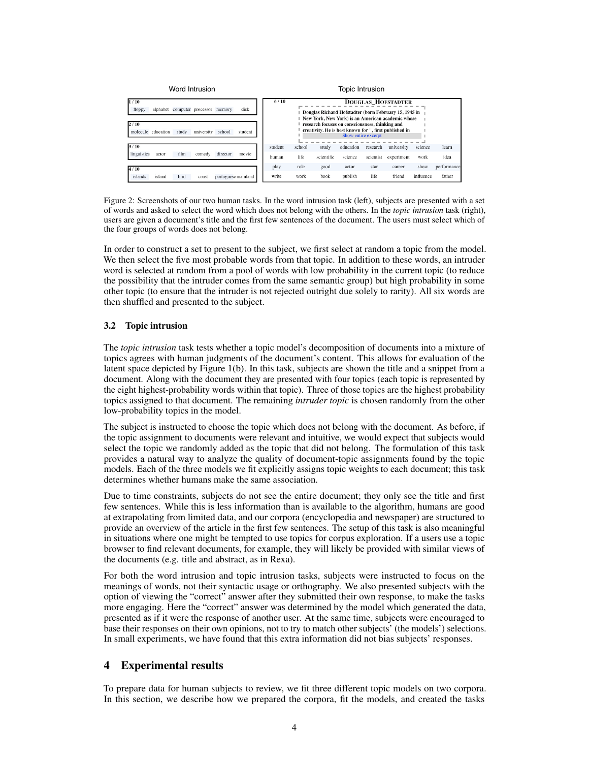

Figure 2: Screenshots of our two human tasks. In the word intrusion task (left), subjects are presented with a set of words and asked to select the word which does not belong with the others. In the *topic intrusion* task (right), users are given a document's title and the first few sentences of the document. The users must select which of the four groups of words does not belong.

In order to construct a set to present to the subject, we first select at random a topic from the model. We then select the five most probable words from that topic. In addition to these words, an intruder word is selected at random from a pool of words with low probability in the current topic (to reduce the possibility that the intruder comes from the same semantic group) but high probability in some other topic (to ensure that the intruder is not rejected outright due solely to rarity). All six words are then shuffled and presented to the subject.

## 3.2 Topic intrusion

The *topic intrusion* task tests whether a topic model's decomposition of documents into a mixture of topics agrees with human judgments of the document's content. This allows for evaluation of the latent space depicted by Figure 1(b). In this task, subjects are shown the title and a snippet from a document. Along with the document they are presented with four topics (each topic is represented by the eight highest-probability words within that topic). Three of those topics are the highest probability topics assigned to that document. The remaining *intruder topic* is chosen randomly from the other low-probability topics in the model.

The subject is instructed to choose the topic which does not belong with the document. As before, if the topic assignment to documents were relevant and intuitive, we would expect that subjects would select the topic we randomly added as the topic that did not belong. The formulation of this task provides a natural way to analyze the quality of document-topic assignments found by the topic models. Each of the three models we fit explicitly assigns topic weights to each document; this task determines whether humans make the same association.

Due to time constraints, subjects do not see the entire document; they only see the title and first few sentences. While this is less information than is available to the algorithm, humans are good at extrapolating from limited data, and our corpora (encyclopedia and newspaper) are structured to provide an overview of the article in the first few sentences. The setup of this task is also meaningful in situations where one might be tempted to use topics for corpus exploration. If a users use a topic browser to find relevant documents, for example, they will likely be provided with similar views of the documents (e.g. title and abstract, as in Rexa).

For both the word intrusion and topic intrusion tasks, subjects were instructed to focus on the meanings of words, not their syntactic usage or orthography. We also presented subjects with the option of viewing the "correct" answer after they submitted their own response, to make the tasks more engaging. Here the "correct" answer was determined by the model which generated the data, presented as if it were the response of another user. At the same time, subjects were encouraged to base their responses on their own opinions, not to try to match other subjects' (the models') selections. In small experiments, we have found that this extra information did not bias subjects' responses.

## 4 Experimental results

To prepare data for human subjects to review, we fit three different topic models on two corpora. In this section, we describe how we prepared the corpora, fit the models, and created the tasks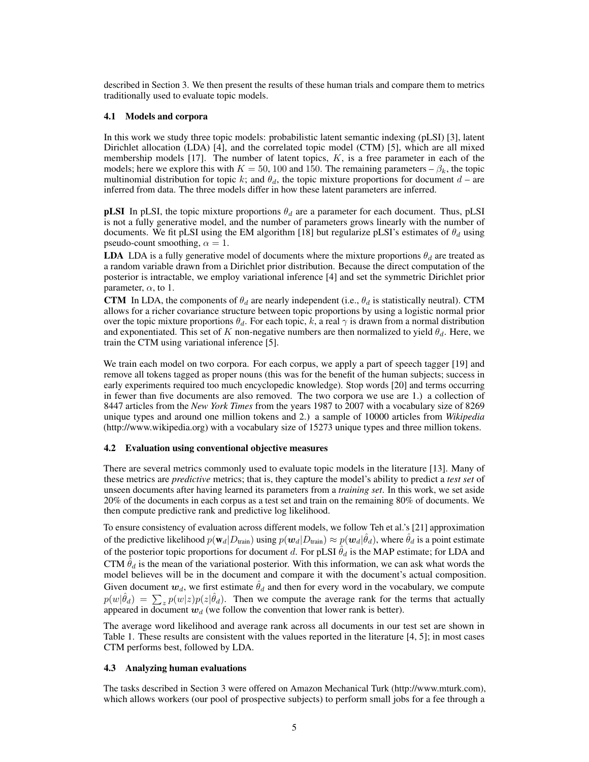described in Section 3. We then present the results of these human trials and compare them to metrics traditionally used to evaluate topic models.

## 4.1 Models and corpora

In this work we study three topic models: probabilistic latent semantic indexing (pLSI) [3], latent Dirichlet allocation (LDA) [4], and the correlated topic model (CTM) [5], which are all mixed membership models  $[17]$ . The number of latent topics,  $K$ , is a free parameter in each of the models; here we explore this with  $K = 50$ , 100 and 150. The remaining parameters –  $\beta_k$ , the topic multinomial distribution for topic k; and  $\theta_d$ , the topic mixture proportions for document  $d$  – are inferred from data. The three models differ in how these latent parameters are inferred.

**pLSI** In pLSI, the topic mixture proportions  $\theta_d$  are a parameter for each document. Thus, pLSI is not a fully generative model, and the number of parameters grows linearly with the number of documents. We fit pLSI using the EM algorithm [18] but regularize pLSI's estimates of  $\theta_d$  using pseudo-count smoothing,  $\alpha = 1$ .

**LDA** LDA is a fully generative model of documents where the mixture proportions  $\theta_d$  are treated as a random variable drawn from a Dirichlet prior distribution. Because the direct computation of the posterior is intractable, we employ variational inference [4] and set the symmetric Dirichlet prior parameter,  $\alpha$ , to 1.

CTM In LDA, the components of  $\theta_d$  are nearly independent (i.e.,  $\theta_d$  is statistically neutral). CTM allows for a richer covariance structure between topic proportions by using a logistic normal prior over the topic mixture proportions  $\theta_d$ . For each topic, k, a real  $\gamma$  is drawn from a normal distribution and exponentiated. This set of K non-negative numbers are then normalized to yield  $\theta_d$ . Here, we train the CTM using variational inference [5].

We train each model on two corpora. For each corpus, we apply a part of speech tagger [19] and remove all tokens tagged as proper nouns (this was for the benefit of the human subjects; success in early experiments required too much encyclopedic knowledge). Stop words [20] and terms occurring in fewer than five documents are also removed. The two corpora we use are 1.) a collection of 8447 articles from the *New York Times* from the years 1987 to 2007 with a vocabulary size of 8269 unique types and around one million tokens and 2.) a sample of 10000 articles from *Wikipedia* (http://www.wikipedia.org) with a vocabulary size of 15273 unique types and three million tokens.

#### 4.2 Evaluation using conventional objective measures

There are several metrics commonly used to evaluate topic models in the literature [13]. Many of these metrics are *predictive* metrics; that is, they capture the model's ability to predict a *test set* of unseen documents after having learned its parameters from a *training set*. In this work, we set aside 20% of the documents in each corpus as a test set and train on the remaining 80% of documents. We then compute predictive rank and predictive log likelihood.

To ensure consistency of evaluation across different models, we follow Teh et al.'s [21] approximation of the predictive likelihood  $p(\mathbf{w}_d|D_{\text{train}})$  using  $p(\bm{w}_d|D_{\text{train}}) \approx p(\bm{w}_d|\hat{\theta}_d)$ , where  $\hat{\theta}_d$  is a point estimate of the posterior topic proportions for document d. For pLSI  $\hat{\theta}_d$  is the MAP estimate; for LDA and CTM  $\hat{\theta}_d$  is the mean of the variational posterior. With this information, we can ask what words the model believes will be in the document and compare it with the document's actual composition. Given document  $w_d$ , we first estimate  $\hat{\theta}_d$  and then for every word in the vocabulary, we compute  $p(w|\hat{\theta}_d) = \sum_z p(w|z)p(z|\hat{\theta}_d)$ . Then we compute the average rank for the terms that actually appeared in document  $w_d$  (we follow the convention that lower rank is better).

The average word likelihood and average rank across all documents in our test set are shown in Table 1. These results are consistent with the values reported in the literature [4, 5]; in most cases CTM performs best, followed by LDA.

### 4.3 Analyzing human evaluations

The tasks described in Section 3 were offered on Amazon Mechanical Turk (http://www.mturk.com), which allows workers (our pool of prospective subjects) to perform small jobs for a fee through a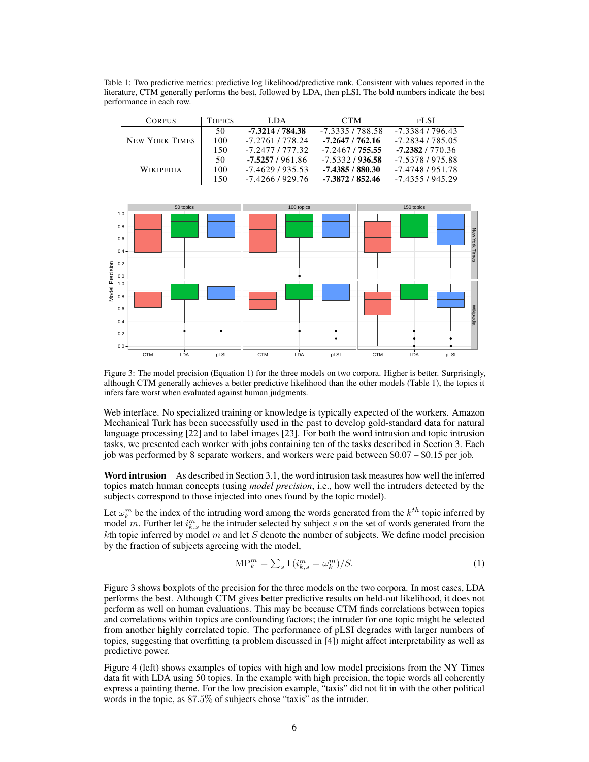Table 1: Two predictive metrics: predictive log likelihood/predictive rank. Consistent with values reported in the literature, CTM generally performs the best, followed by LDA, then pLSI. The bold numbers indicate the best performance in each row.

| <b>CORPUS</b>         | <b>TOPICS</b> | LDA.               | <b>CTM</b>         | <b>PLSI</b>      |
|-----------------------|---------------|--------------------|--------------------|------------------|
| <b>NEW YORK TIMES</b> | 50            | $-7.3214/784.38$   | $-7.3335/788.58$   | $-7.33847796.43$ |
|                       | 100           | -7.2761/778.24     | $-7.2647/762.16$   | $-7.2834/785.05$ |
|                       | 150           | $-7.2477$ / 777.32 | -7.2467 / 755.55   | $-7.2382/770.36$ |
| <b>WIKIPEDIA</b>      | 50            | -7.5257 / 961.86   | $-7.5332/936.58$   | -7.5378 / 975.88 |
|                       | 100           | $-7.4629/935.53$   | $-7.4385/880.30$   | -7.4748 / 951.78 |
|                       | 150           | $-7.4266/929.76$   | $-7.3872 / 852.46$ | $-7.4355/945.29$ |



Figure 3: The model precision (Equation 1) for the three models on two corpora. Higher is better. Surprisingly, although CTM generally achieves a better predictive likelihood than the other models (Table 1), the topics it infers fare worst when evaluated against human judgments.

Web interface. No specialized training or knowledge is typically expected of the workers. Amazon Mechanical Turk has been successfully used in the past to develop gold-standard data for natural language processing [22] and to label images [23]. For both the word intrusion and topic intrusion tasks, we presented each worker with jobs containing ten of the tasks described in Section 3. Each job was performed by 8 separate workers, and workers were paid between \$0.07 – \$0.15 per job.

Word intrusion As described in Section 3.1, the word intrusion task measures how well the inferred topics match human concepts (using *model precision*, i.e., how well the intruders detected by the subjects correspond to those injected into ones found by the topic model).

Let  $\omega_k^m$  be the index of the intruding word among the words generated from the  $k^{th}$  topic inferred by model m. Further let  $i_{k,s}^m$  be the intruder selected by subject s on the set of words generated from the kth topic inferred by model  $m$  and let  $S$  denote the number of subjects. We define model precision by the fraction of subjects agreeing with the model,

$$
\text{MP}_k^m = \sum_s \mathbb{1}(i_{k,s}^m = \omega_k^m)/S. \tag{1}
$$

Figure 3 shows boxplots of the precision for the three models on the two corpora. In most cases, LDA performs the best. Although CTM gives better predictive results on held-out likelihood, it does not perform as well on human evaluations. This may be because CTM finds correlations between topics and correlations within topics are confounding factors; the intruder for one topic might be selected from another highly correlated topic. The performance of pLSI degrades with larger numbers of topics, suggesting that overfitting (a problem discussed in [4]) might affect interpretability as well as predictive power.

Figure 4 (left) shows examples of topics with high and low model precisions from the NY Times data fit with LDA using 50 topics. In the example with high precision, the topic words all coherently express a painting theme. For the low precision example, "taxis" did not fit in with the other political words in the topic, as 87.5% of subjects chose "taxis" as the intruder.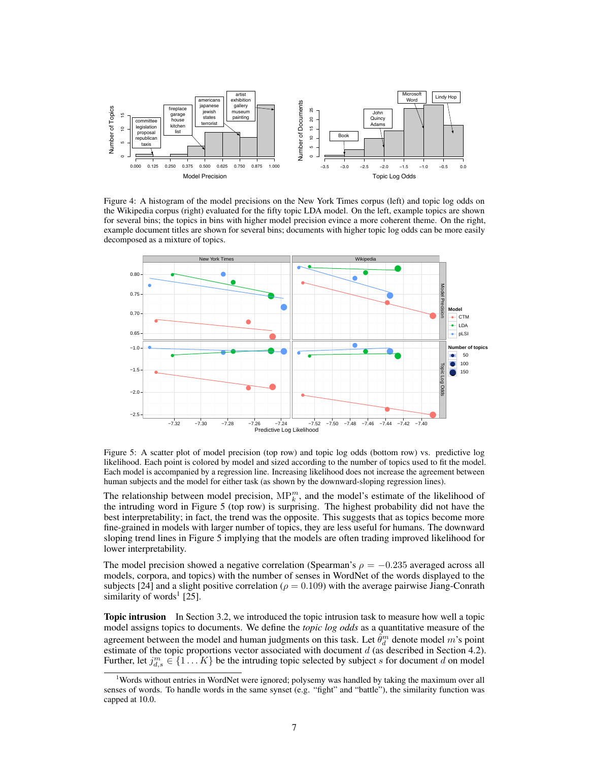

Figure 4: A histogram of the model precisions on the New York Times corpus (left) and topic log odds on the Wikipedia corpus (right) evaluated for the fifty topic LDA model. On the left, example topics are shown for several bins; the topics in bins with higher model precision evince a more coherent theme. On the right, example document titles are shown for several bins; documents with higher topic log odds can be more easily decomposed as a mixture of topics.



Figure 5: A scatter plot of model precision (top row) and topic log odds (bottom row) vs. predictive log likelihood. Each point is colored by model and sized according to the number of topics used to fit the model. Each model is accompanied by a regression line. Increasing likelihood does not increase the agreement between human subjects and the model for either task (as shown by the downward-sloping regression lines).

The relationship between model precision,  $MP_k^m$ , and the model's estimate of the likelihood of the intruding word in Figure 5 (top row) is surprising. The highest probability did not have the best interpretability; in fact, the trend was the opposite. This suggests that as topics become more fine-grained in models with larger number of topics, they are less useful for humans. The downward sloping trend lines in Figure 5 implying that the models are often trading improved likelihood for lower interpretability.

The model precision showed a negative correlation (Spearman's  $\rho = -0.235$  averaged across all models, corpora, and topics) with the number of senses in WordNet of the words displayed to the subjects [24] and a slight positive correlation ( $\rho = 0.109$ ) with the average pairwise Jiang-Conrath similarity of words<sup>1</sup> [25].

**Topic intrusion** In Section 3.2, we introduced the topic intrusion task to measure how well a topic model assigns topics to documents. We define the *topic log odds* as a quantitative measure of the agreement between the model and human judgments on this task. Let  $\hat{\theta}_d^m$  denote model m's point estimate of the topic proportions vector associated with document  $d$  (as described in Section 4.2). Further, let  $j_{d,s}^m \in \{1...K\}$  be the intruding topic selected by subject s for document d on model

<sup>1</sup>Words without entries in WordNet were ignored; polysemy was handled by taking the maximum over all senses of words. To handle words in the same synset (e.g. "fight" and "battle"), the similarity function was capped at 10.0.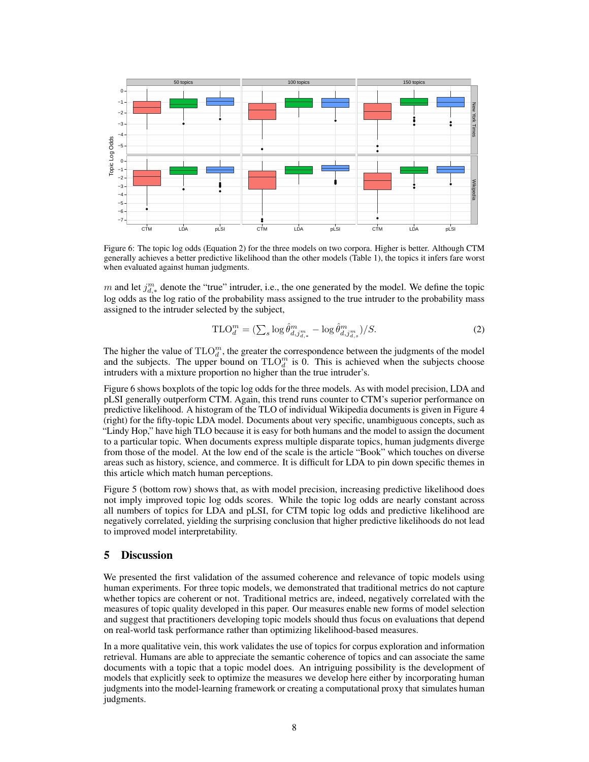

Figure 6: The topic log odds (Equation 2) for the three models on two corpora. Higher is better. Although CTM generally achieves a better predictive likelihood than the other models (Table 1), the topics it infers fare worst when evaluated against human judgments.

m and let  $j_{d,*}^m$  denote the "true" intruder, i.e., the one generated by the model. We define the topic log odds as the log ratio of the probability mass assigned to the true intruder to the probability mass assigned to the intruder selected by the subject,

$$
\text{TLO}_{d}^{m} = \left(\sum_{s} \log \hat{\theta}_{d,j_{d,*}^{m}}^{m} - \log \hat{\theta}_{d,j_{d,*}^{m}}^{m}\right) / S. \tag{2}
$$

The higher the value of  $TLO_d^m$ , the greater the correspondence between the judgments of the model and the subjects. The upper bound on  $TLO_d^m$  is 0. This is achieved when the subjects choose intruders with a mixture proportion no higher than the true intruder's.

Figure 6 shows boxplots of the topic log odds for the three models. As with model precision, LDA and pLSI generally outperform CTM. Again, this trend runs counter to CTM's superior performance on predictive likelihood. A histogram of the TLO of individual Wikipedia documents is given in Figure 4 (right) for the fifty-topic LDA model. Documents about very specific, unambiguous concepts, such as "Lindy Hop," have high TLO because it is easy for both humans and the model to assign the document to a particular topic. When documents express multiple disparate topics, human judgments diverge from those of the model. At the low end of the scale is the article "Book" which touches on diverse areas such as history, science, and commerce. It is difficult for LDA to pin down specific themes in this article which match human perceptions.

Figure 5 (bottom row) shows that, as with model precision, increasing predictive likelihood does not imply improved topic log odds scores. While the topic log odds are nearly constant across all numbers of topics for LDA and pLSI, for CTM topic log odds and predictive likelihood are negatively correlated, yielding the surprising conclusion that higher predictive likelihoods do not lead to improved model interpretability.

# 5 Discussion

We presented the first validation of the assumed coherence and relevance of topic models using human experiments. For three topic models, we demonstrated that traditional metrics do not capture whether topics are coherent or not. Traditional metrics are, indeed, negatively correlated with the measures of topic quality developed in this paper. Our measures enable new forms of model selection and suggest that practitioners developing topic models should thus focus on evaluations that depend on real-world task performance rather than optimizing likelihood-based measures.

In a more qualitative vein, this work validates the use of topics for corpus exploration and information retrieval. Humans are able to appreciate the semantic coherence of topics and can associate the same documents with a topic that a topic model does. An intriguing possibility is the development of models that explicitly seek to optimize the measures we develop here either by incorporating human judgments into the model-learning framework or creating a computational proxy that simulates human judgments.